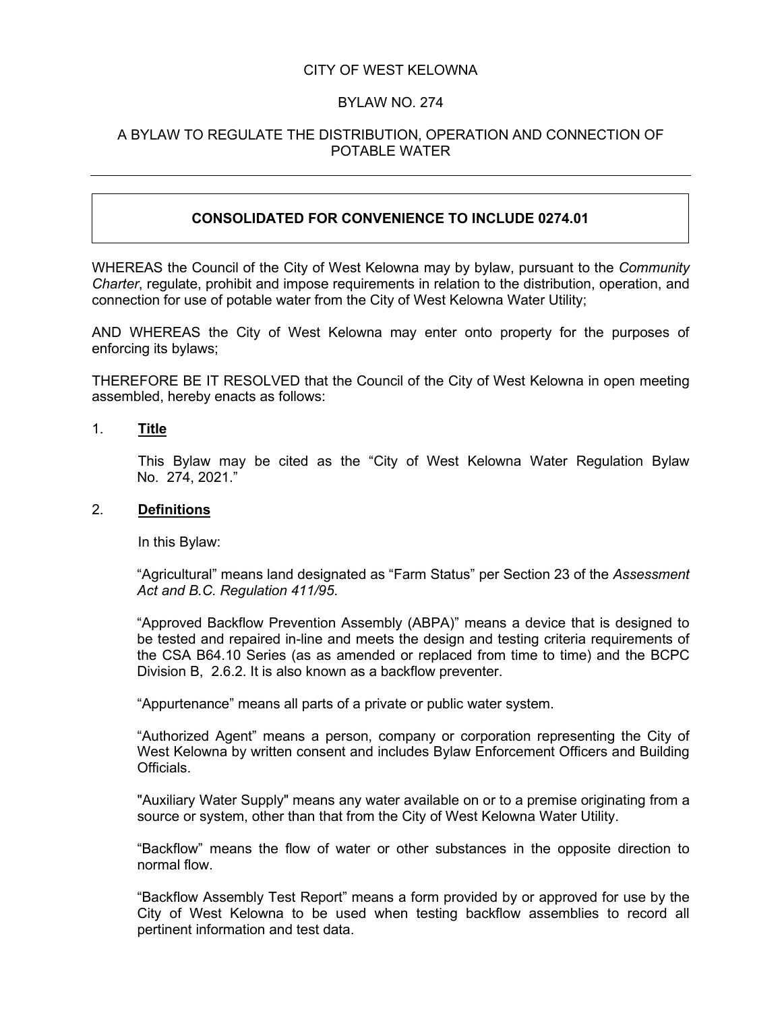### CITY OF WEST KELOWNA

#### BYLAW NO. 274

### A BYLAW TO REGULATE THE DISTRIBUTION, OPERATION AND CONNECTION OF POTABLE WATER

## **CONSOLIDATED FOR CONVENIENCE TO INCLUDE 0274.01**

WHEREAS the Council of the City of West Kelowna may by bylaw, pursuant to the *Community Charter*, regulate, prohibit and impose requirements in relation to the distribution, operation, and connection for use of potable water from the City of West Kelowna Water Utility;

AND WHEREAS the City of West Kelowna may enter onto property for the purposes of enforcing its bylaws;

THEREFORE BE IT RESOLVED that the Council of the City of West Kelowna in open meeting assembled, hereby enacts as follows:

1. **Title**

This Bylaw may be cited as the "City of West Kelowna Water Regulation Bylaw No. 274, 2021."

#### 2. **Definitions**

In this Bylaw:

"Agricultural" means land designated as "Farm Status" per Section 23 of the *Assessment Act and B.C. Regulation 411/95*.

"Approved Backflow Prevention Assembly (ABPA)" means a device that is designed to be tested and repaired in-line and meets the design and testing criteria requirements of the CSA B64.10 Series (as as amended or replaced from time to time) and the BCPC Division B, 2.6.2. It is also known as a backflow preventer.

"Appurtenance" means all parts of a private or public water system.

"Authorized Agent" means a person, company or corporation representing the City of West Kelowna by written consent and includes Bylaw Enforcement Officers and Building **Officials** 

"Auxiliary Water Supply" means any water available on or to a premise originating from a source or system, other than that from the City of West Kelowna Water Utility.

"Backflow" means the flow of water or other substances in the opposite direction to normal flow.

"Backflow Assembly Test Report" means a form provided by or approved for use by the City of West Kelowna to be used when testing backflow assemblies to record all pertinent information and test data.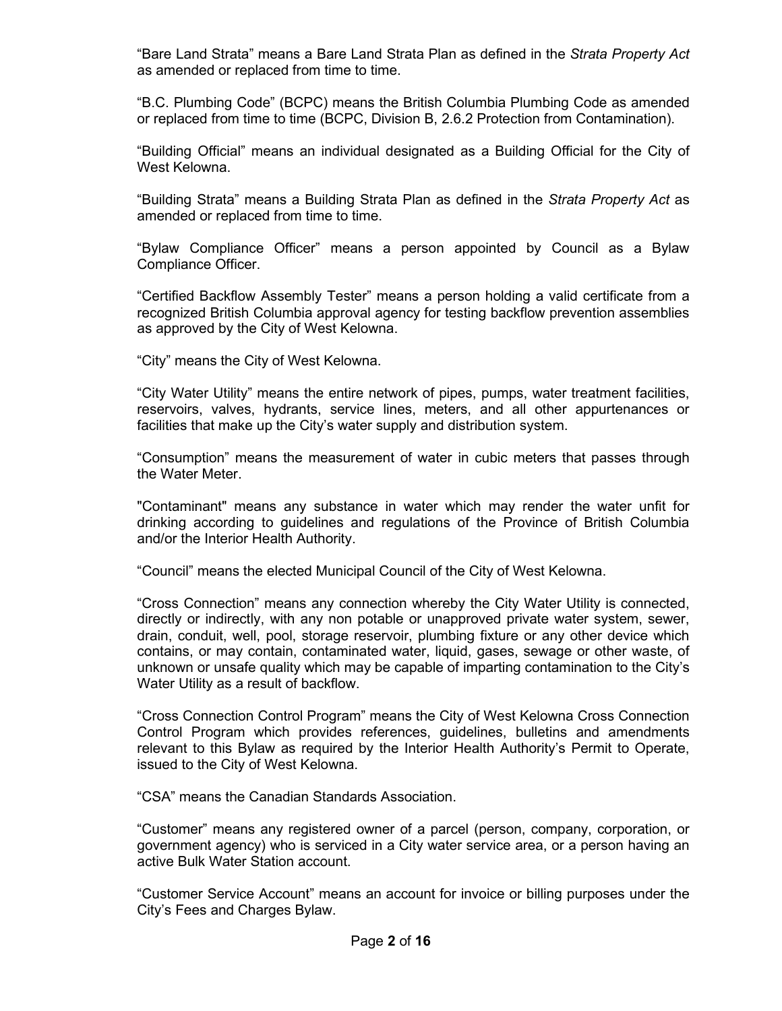"Bare Land Strata" means a Bare Land Strata Plan as defined in the *Strata Property Act*  as amended or replaced from time to time.

"B.C. Plumbing Code" (BCPC) means the British Columbia Plumbing Code as amended or replaced from time to time (BCPC, Division B, 2.6.2 Protection from Contamination).

"Building Official" means an individual designated as a Building Official for the City of West Kelowna.

"Building Strata" means a Building Strata Plan as defined in the *Strata Property Act* as amended or replaced from time to time.

"Bylaw Compliance Officer" means a person appointed by Council as a Bylaw Compliance Officer.

"Certified Backflow Assembly Tester" means a person holding a valid certificate from a recognized British Columbia approval agency for testing backflow prevention assemblies as approved by the City of West Kelowna.

"City" means the City of West Kelowna.

"City Water Utility" means the entire network of pipes, pumps, water treatment facilities, reservoirs, valves, hydrants, service lines, meters, and all other appurtenances or facilities that make up the City's water supply and distribution system.

"Consumption" means the measurement of water in cubic meters that passes through the Water Meter.

"Contaminant" means any substance in water which may render the water unfit for drinking according to guidelines and regulations of the Province of British Columbia and/or the Interior Health Authority.

"Council" means the elected Municipal Council of the City of West Kelowna.

"Cross Connection" means any connection whereby the City Water Utility is connected, directly or indirectly, with any non potable or unapproved private water system, sewer, drain, conduit, well, pool, storage reservoir, plumbing fixture or any other device which contains, or may contain, contaminated water, liquid, gases, sewage or other waste, of unknown or unsafe quality which may be capable of imparting contamination to the City's Water Utility as a result of backflow.

"Cross Connection Control Program" means the City of West Kelowna Cross Connection Control Program which provides references, guidelines, bulletins and amendments relevant to this Bylaw as required by the Interior Health Authority's Permit to Operate, issued to the City of West Kelowna.

"CSA" means the Canadian Standards Association.

"Customer" means any registered owner of a parcel (person, company, corporation, or government agency) who is serviced in a City water service area, or a person having an active Bulk Water Station account.

"Customer Service Account" means an account for invoice or billing purposes under the City's Fees and Charges Bylaw.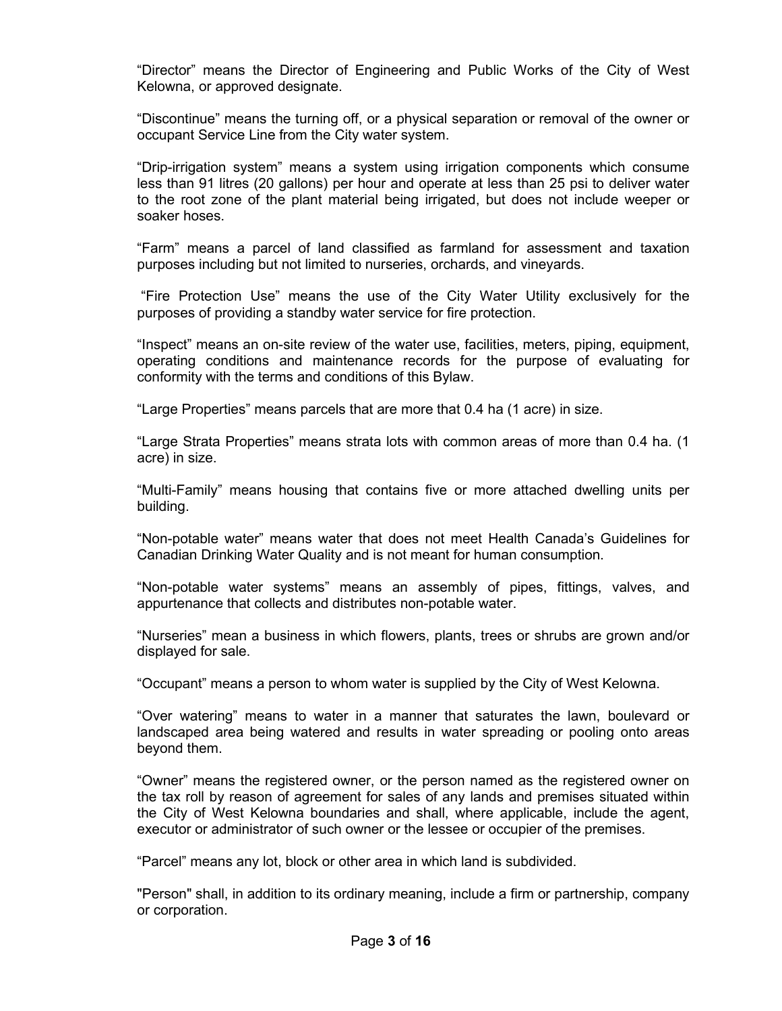"Director" means the Director of Engineering and Public Works of the City of West Kelowna, or approved designate.

"Discontinue" means the turning off, or a physical separation or removal of the owner or occupant Service Line from the City water system.

"Drip-irrigation system" means a system using irrigation components which consume less than 91 litres (20 gallons) per hour and operate at less than 25 psi to deliver water to the root zone of the plant material being irrigated, but does not include weeper or soaker hoses.

"Farm" means a parcel of land classified as farmland for assessment and taxation purposes including but not limited to nurseries, orchards, and vineyards.

"Fire Protection Use" means the use of the City Water Utility exclusively for the purposes of providing a standby water service for fire protection.

"Inspect" means an on-site review of the water use, facilities, meters, piping, equipment, operating conditions and maintenance records for the purpose of evaluating for conformity with the terms and conditions of this Bylaw.

"Large Properties" means parcels that are more that 0.4 ha (1 acre) in size.

"Large Strata Properties" means strata lots with common areas of more than 0.4 ha. (1 acre) in size.

"Multi-Family" means housing that contains five or more attached dwelling units per building.

"Non-potable water" means water that does not meet Health Canada's Guidelines for Canadian Drinking Water Quality and is not meant for human consumption.

"Non-potable water systems" means an assembly of pipes, fittings, valves, and appurtenance that collects and distributes non-potable water.

"Nurseries" mean a business in which flowers, plants, trees or shrubs are grown and/or displayed for sale.

"Occupant" means a person to whom water is supplied by the City of West Kelowna.

"Over watering" means to water in a manner that saturates the lawn, boulevard or landscaped area being watered and results in water spreading or pooling onto areas beyond them.

"Owner" means the registered owner, or the person named as the registered owner on the tax roll by reason of agreement for sales of any lands and premises situated within the City of West Kelowna boundaries and shall, where applicable, include the agent, executor or administrator of such owner or the lessee or occupier of the premises.

"Parcel" means any lot, block or other area in which land is subdivided.

"Person" shall, in addition to its ordinary meaning, include a firm or partnership, company or corporation.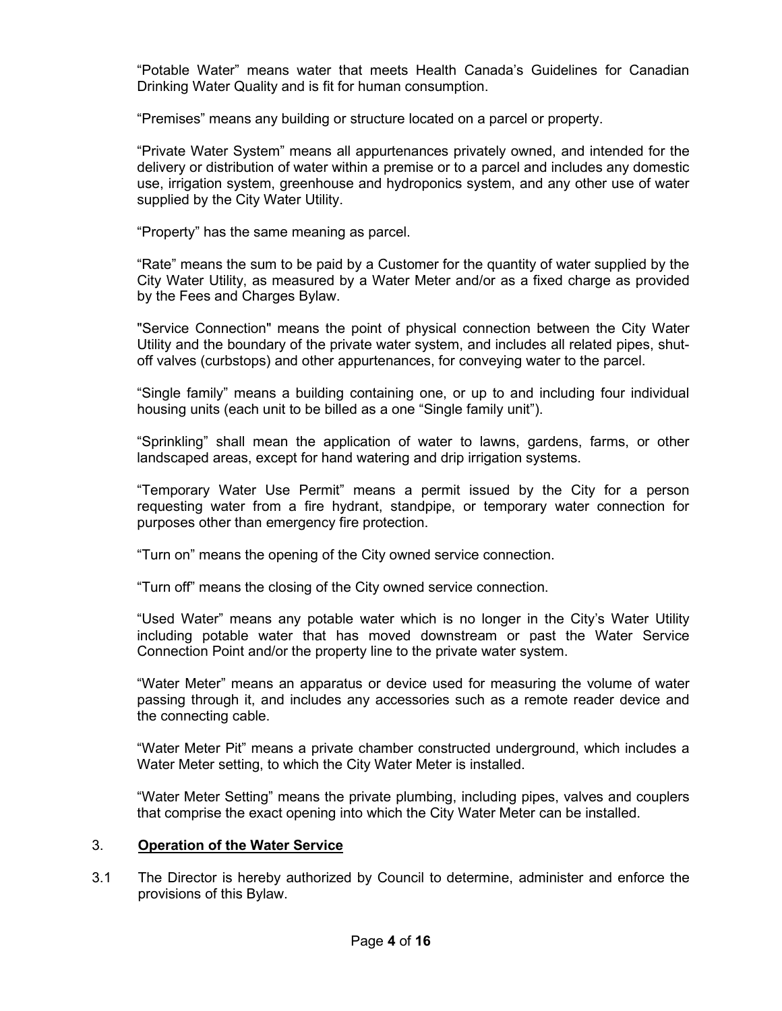"Potable Water" means water that meets Health Canada's Guidelines for Canadian Drinking Water Quality and is fit for human consumption.

"Premises" means any building or structure located on a parcel or property.

"Private Water System" means all appurtenances privately owned, and intended for the delivery or distribution of water within a premise or to a parcel and includes any domestic use, irrigation system, greenhouse and hydroponics system, and any other use of water supplied by the City Water Utility.

"Property" has the same meaning as parcel.

"Rate" means the sum to be paid by a Customer for the quantity of water supplied by the City Water Utility, as measured by a Water Meter and/or as a fixed charge as provided by the Fees and Charges Bylaw.

"Service Connection" means the point of physical connection between the City Water Utility and the boundary of the private water system, and includes all related pipes, shutoff valves (curbstops) and other appurtenances, for conveying water to the parcel.

"Single family" means a building containing one, or up to and including four individual housing units (each unit to be billed as a one "Single family unit").

"Sprinkling" shall mean the application of water to lawns, gardens, farms, or other landscaped areas, except for hand watering and drip irrigation systems.

"Temporary Water Use Permit" means a permit issued by the City for a person requesting water from a fire hydrant, standpipe, or temporary water connection for purposes other than emergency fire protection.

"Turn on" means the opening of the City owned service connection.

"Turn off" means the closing of the City owned service connection.

"Used Water" means any potable water which is no longer in the City's Water Utility including potable water that has moved downstream or past the Water Service Connection Point and/or the property line to the private water system.

"Water Meter" means an apparatus or device used for measuring the volume of water passing through it, and includes any accessories such as a remote reader device and the connecting cable.

"Water Meter Pit" means a private chamber constructed underground, which includes a Water Meter setting, to which the City Water Meter is installed.

"Water Meter Setting" means the private plumbing, including pipes, valves and couplers that comprise the exact opening into which the City Water Meter can be installed.

## 3. **Operation of the Water Service**

3.1 The Director is hereby authorized by Council to determine, administer and enforce the provisions of this Bylaw.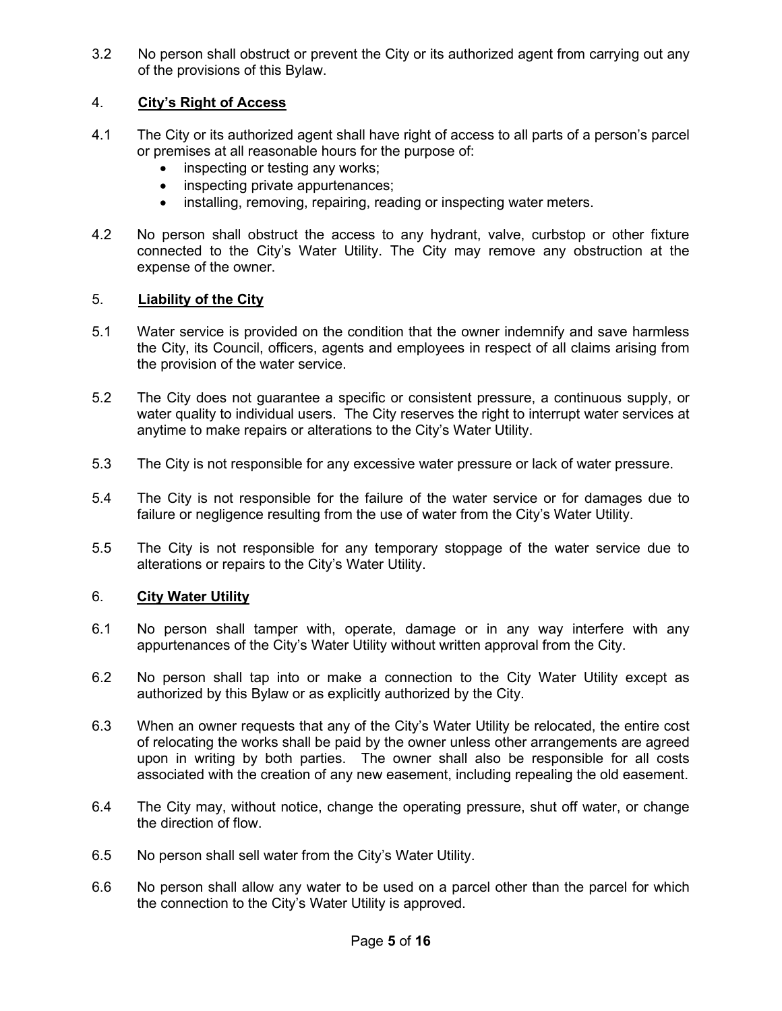3.2 No person shall obstruct or prevent the City or its authorized agent from carrying out any of the provisions of this Bylaw.

# 4. **City's Right of Access**

- 4.1 The City or its authorized agent shall have right of access to all parts of a person's parcel or premises at all reasonable hours for the purpose of:
	- inspecting or testing any works;
	- inspecting private appurtenances;
	- installing, removing, repairing, reading or inspecting water meters.
- 4.2 No person shall obstruct the access to any hydrant, valve, curbstop or other fixture connected to the City's Water Utility. The City may remove any obstruction at the expense of the owner.

## 5. **Liability of the City**

- 5.1 Water service is provided on the condition that the owner indemnify and save harmless the City, its Council, officers, agents and employees in respect of all claims arising from the provision of the water service.
- 5.2 The City does not guarantee a specific or consistent pressure, a continuous supply, or water quality to individual users. The City reserves the right to interrupt water services at anytime to make repairs or alterations to the City's Water Utility.
- 5.3 The City is not responsible for any excessive water pressure or lack of water pressure.
- 5.4 The City is not responsible for the failure of the water service or for damages due to failure or negligence resulting from the use of water from the City's Water Utility.
- 5.5 The City is not responsible for any temporary stoppage of the water service due to alterations or repairs to the City's Water Utility.

## 6. **City Water Utility**

- 6.1 No person shall tamper with, operate, damage or in any way interfere with any appurtenances of the City's Water Utility without written approval from the City.
- 6.2 No person shall tap into or make a connection to the City Water Utility except as authorized by this Bylaw or as explicitly authorized by the City.
- 6.3 When an owner requests that any of the City's Water Utility be relocated, the entire cost of relocating the works shall be paid by the owner unless other arrangements are agreed upon in writing by both parties. The owner shall also be responsible for all costs associated with the creation of any new easement, including repealing the old easement.
- 6.4 The City may, without notice, change the operating pressure, shut off water, or change the direction of flow.
- 6.5 No person shall sell water from the City's Water Utility.
- 6.6 No person shall allow any water to be used on a parcel other than the parcel for which the connection to the City's Water Utility is approved.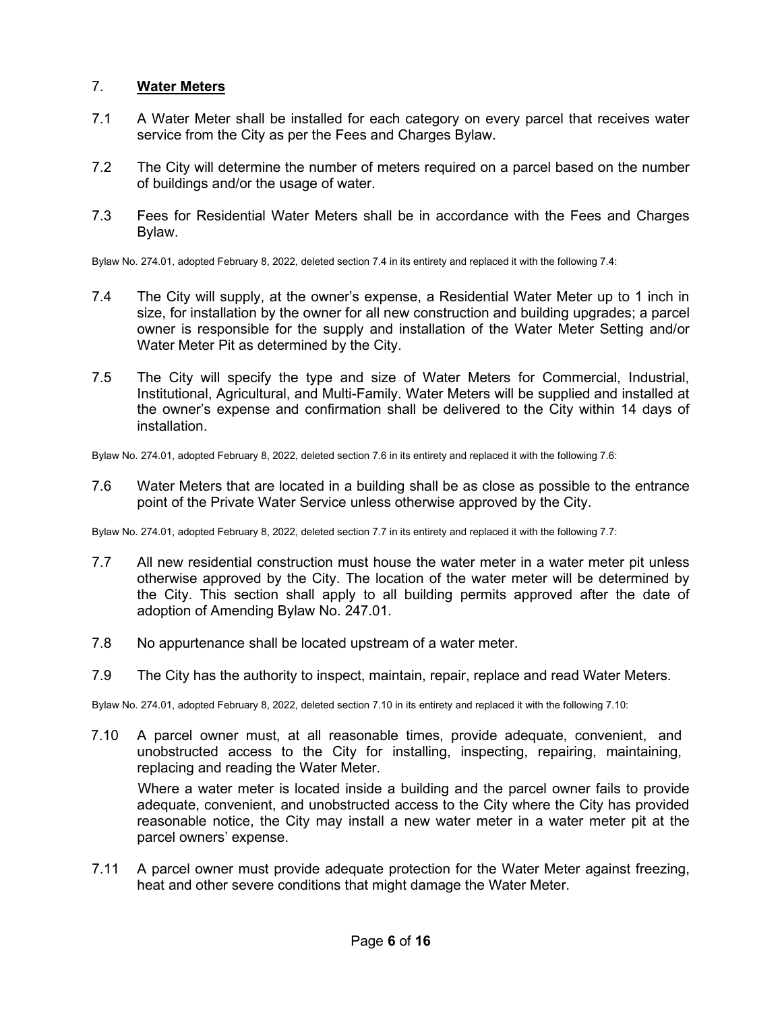## 7. **Water Meters**

- 7.1 A Water Meter shall be installed for each category on every parcel that receives water service from the City as per the Fees and Charges Bylaw.
- 7.2 The City will determine the number of meters required on a parcel based on the number of buildings and/or the usage of water.
- 7.3 Fees for Residential Water Meters shall be in accordance with the Fees and Charges Bylaw.

Bylaw No. 274.01, adopted February 8, 2022, deleted section 7.4 in its entirety and replaced it with the following 7.4:

- 7.4 The City will supply, at the owner's expense, a Residential Water Meter up to 1 inch in size, for installation by the owner for all new construction and building upgrades; a parcel owner is responsible for the supply and installation of the Water Meter Setting and/or Water Meter Pit as determined by the City.
- 7.5 The City will specify the type and size of Water Meters for Commercial, Industrial, Institutional, Agricultural, and Multi-Family. Water Meters will be supplied and installed at the owner's expense and confirmation shall be delivered to the City within 14 days of installation.

Bylaw No. 274.01, adopted February 8, 2022, deleted section 7.6 in its entirety and replaced it with the following 7.6:

7.6 Water Meters that are located in a building shall be as close as possible to the entrance point of the Private Water Service unless otherwise approved by the City.

Bylaw No. 274.01, adopted February 8, 2022, deleted section 7.7 in its entirety and replaced it with the following 7.7:

- 7.7 All new residential construction must house the water meter in a water meter pit unless otherwise approved by the City. The location of the water meter will be determined by the City. This section shall apply to all building permits approved after the date of adoption of Amending Bylaw No. 247.01.
- 7.8 No appurtenance shall be located upstream of a water meter.
- 7.9 The City has the authority to inspect, maintain, repair, replace and read Water Meters.

Bylaw No. 274.01, adopted February 8, 2022, deleted section 7.10 in its entirety and replaced it with the following 7.10:

7.10 A parcel owner must, at all reasonable times, provide adequate, convenient, and unobstructed access to the City for installing, inspecting, repairing, maintaining, replacing and reading the Water Meter.

Where a water meter is located inside a building and the parcel owner fails to provide adequate, convenient, and unobstructed access to the City where the City has provided reasonable notice, the City may install a new water meter in a water meter pit at the parcel owners' expense.

7.11 A parcel owner must provide adequate protection for the Water Meter against freezing, heat and other severe conditions that might damage the Water Meter.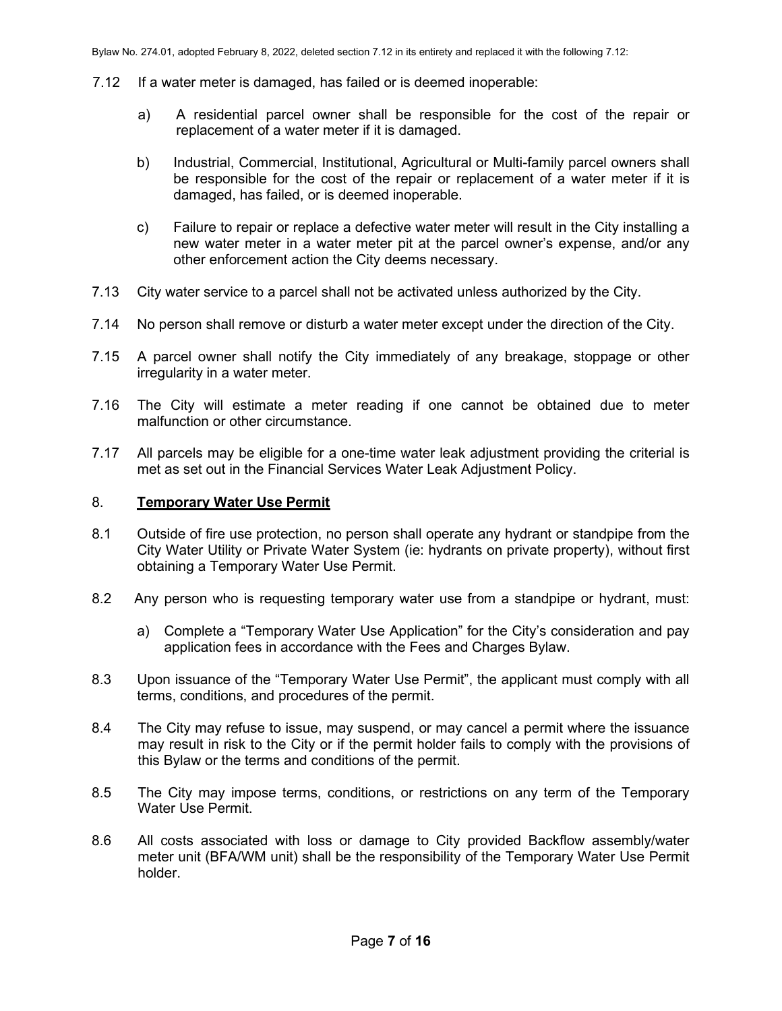- 7.12 If a water meter is damaged, has failed or is deemed inoperable:
	- a) A residential parcel owner shall be responsible for the cost of the repair or replacement of a water meter if it is damaged.
	- b) Industrial, Commercial, Institutional, Agricultural or Multi-family parcel owners shall be responsible for the cost of the repair or replacement of a water meter if it is damaged, has failed, or is deemed inoperable.
	- c) Failure to repair or replace a defective water meter will result in the City installing a new water meter in a water meter pit at the parcel owner's expense, and/or any other enforcement action the City deems necessary.
- 7.13 City water service to a parcel shall not be activated unless authorized by the City.
- 7.14 No person shall remove or disturb a water meter except under the direction of the City.
- 7.15 A parcel owner shall notify the City immediately of any breakage, stoppage or other irregularity in a water meter.
- 7.16 The City will estimate a meter reading if one cannot be obtained due to meter malfunction or other circumstance.
- 7.17 All parcels may be eligible for a one-time water leak adjustment providing the criterial is met as set out in the Financial Services Water Leak Adjustment Policy.

### 8. **Temporary Water Use Permit**

- 8.1 Outside of fire use protection, no person shall operate any hydrant or standpipe from the City Water Utility or Private Water System (ie: hydrants on private property), without first obtaining a Temporary Water Use Permit.
- 8.2 Any person who is requesting temporary water use from a standpipe or hydrant, must:
	- a) Complete a "Temporary Water Use Application" for the City's consideration and pay application fees in accordance with the Fees and Charges Bylaw.
- 8.3 Upon issuance of the "Temporary Water Use Permit", the applicant must comply with all terms, conditions, and procedures of the permit.
- 8.4 The City may refuse to issue, may suspend, or may cancel a permit where the issuance may result in risk to the City or if the permit holder fails to comply with the provisions of this Bylaw or the terms and conditions of the permit.
- 8.5 The City may impose terms, conditions, or restrictions on any term of the Temporary Water Use Permit.
- 8.6 All costs associated with loss or damage to City provided Backflow assembly/water meter unit (BFA/WM unit) shall be the responsibility of the Temporary Water Use Permit holder.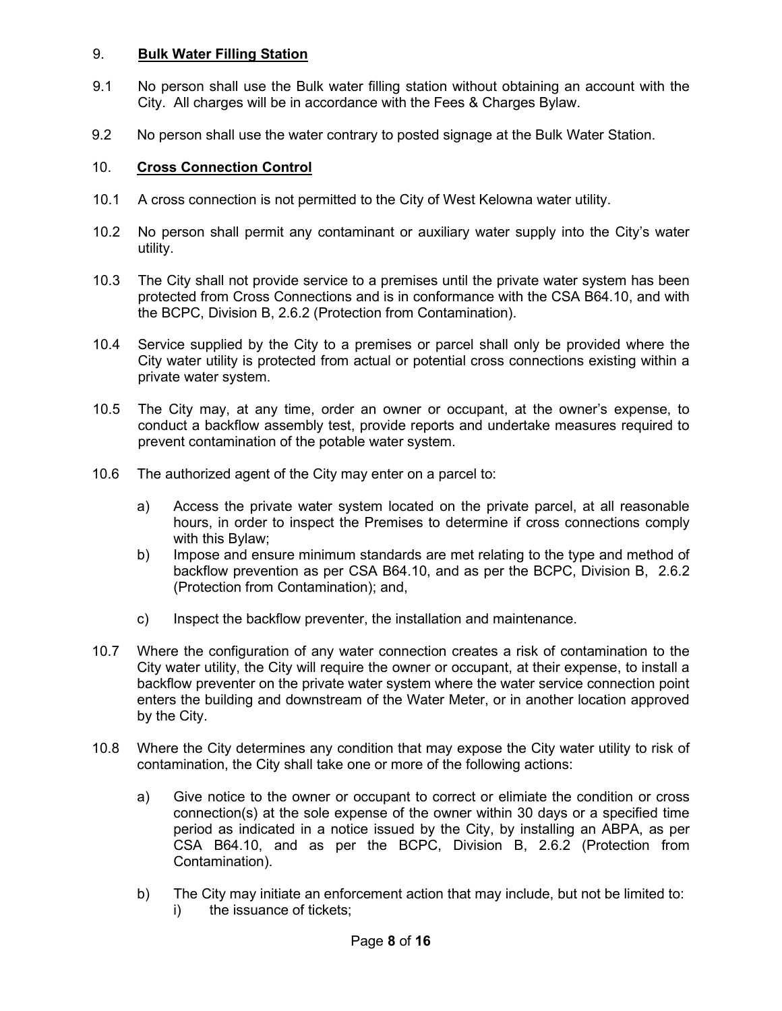## 9. **Bulk Water Filling Station**

- 9.1 No person shall use the Bulk water filling station without obtaining an account with the City. All charges will be in accordance with the Fees & Charges Bylaw.
- 9.2 No person shall use the water contrary to posted signage at the Bulk Water Station.

## 10. **Cross Connection Control**

- 10.1 A cross connection is not permitted to the City of West Kelowna water utility.
- 10.2 No person shall permit any contaminant or auxiliary water supply into the City's water utility.
- 10.3 The City shall not provide service to a premises until the private water system has been protected from Cross Connections and is in conformance with the CSA B64.10, and with the BCPC, Division B, 2.6.2 (Protection from Contamination).
- 10.4 Service supplied by the City to a premises or parcel shall only be provided where the City water utility is protected from actual or potential cross connections existing within a private water system.
- 10.5 The City may, at any time, order an owner or occupant, at the owner's expense, to conduct a backflow assembly test, provide reports and undertake measures required to prevent contamination of the potable water system.
- 10.6 The authorized agent of the City may enter on a parcel to:
	- a) Access the private water system located on the private parcel, at all reasonable hours, in order to inspect the Premises to determine if cross connections comply with this Bylaw;
	- b) Impose and ensure minimum standards are met relating to the type and method of backflow prevention as per CSA B64.10, and as per the BCPC, Division B, 2.6.2 (Protection from Contamination); and,
	- c) Inspect the backflow preventer, the installation and maintenance.
- 10.7 Where the configuration of any water connection creates a risk of contamination to the City water utility, the City will require the owner or occupant, at their expense, to install a backflow preventer on the private water system where the water service connection point enters the building and downstream of the Water Meter, or in another location approved by the City.
- 10.8 Where the City determines any condition that may expose the City water utility to risk of contamination, the City shall take one or more of the following actions:
	- a) Give notice to the owner or occupant to correct or elimiate the condition or cross connection(s) at the sole expense of the owner within 30 days or a specified time period as indicated in a notice issued by the City, by installing an ABPA, as per CSA B64.10, and as per the BCPC, Division B, 2.6.2 (Protection from Contamination).
	- b) The City may initiate an enforcement action that may include, but not be limited to: i) the issuance of tickets;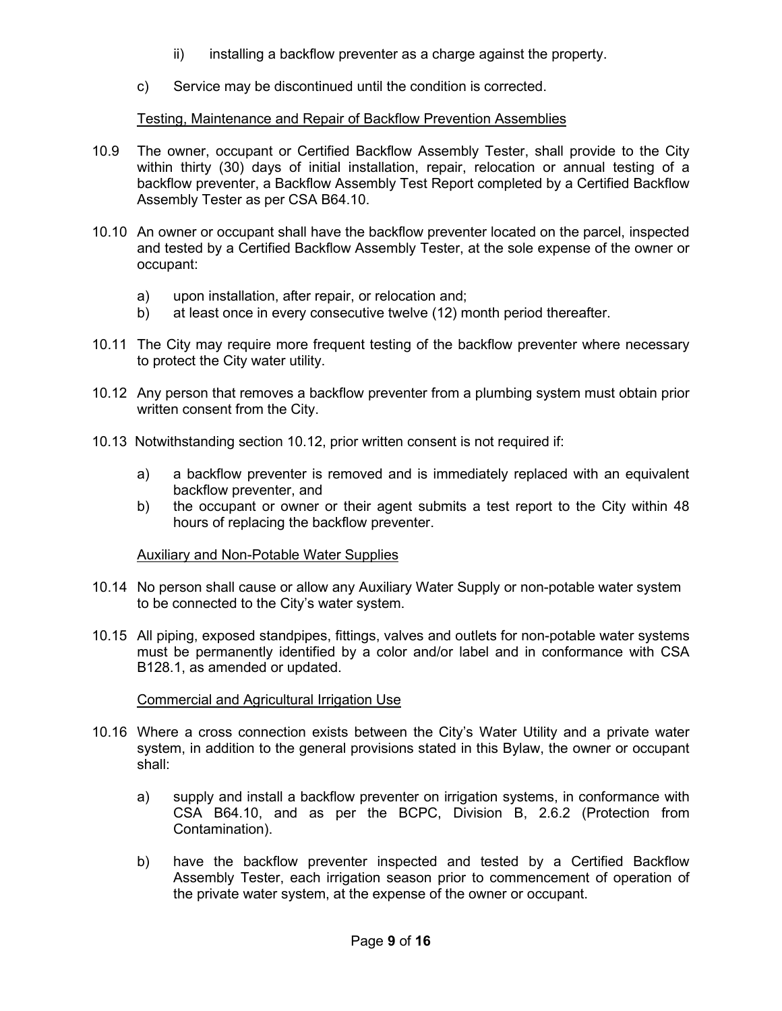- ii) installing a backflow preventer as a charge against the property.
- c) Service may be discontinued until the condition is corrected.

## Testing, Maintenance and Repair of Backflow Prevention Assemblies

- 10.9 The owner, occupant or Certified Backflow Assembly Tester, shall provide to the City within thirty (30) days of initial installation, repair, relocation or annual testing of a backflow preventer, a Backflow Assembly Test Report completed by a Certified Backflow Assembly Tester as per CSA B64.10.
- 10.10 An owner or occupant shall have the backflow preventer located on the parcel, inspected and tested by a Certified Backflow Assembly Tester, at the sole expense of the owner or occupant:
	- a) upon installation, after repair, or relocation and;
	- b) at least once in every consecutive twelve (12) month period thereafter.
- 10.11 The City may require more frequent testing of the backflow preventer where necessary to protect the City water utility.
- 10.12 Any person that removes a backflow preventer from a plumbing system must obtain prior written consent from the City.
- 10.13 Notwithstanding section 10.12, prior written consent is not required if:
	- a) a backflow preventer is removed and is immediately replaced with an equivalent backflow preventer, and
	- b) the occupant or owner or their agent submits a test report to the City within 48 hours of replacing the backflow preventer.

## Auxiliary and Non-Potable Water Supplies

- 10.14 No person shall cause or allow any Auxiliary Water Supply or non-potable water system to be connected to the City's water system.
- 10.15 All piping, exposed standpipes, fittings, valves and outlets for non-potable water systems must be permanently identified by a color and/or label and in conformance with CSA B128.1, as amended or updated.

## Commercial and Agricultural Irrigation Use

- 10.16 Where a cross connection exists between the City's Water Utility and a private water system, in addition to the general provisions stated in this Bylaw, the owner or occupant shall:
	- a) supply and install a backflow preventer on irrigation systems, in conformance with CSA B64.10, and as per the BCPC, Division B, 2.6.2 (Protection from Contamination).
	- b) have the backflow preventer inspected and tested by a Certified Backflow Assembly Tester, each irrigation season prior to commencement of operation of the private water system, at the expense of the owner or occupant.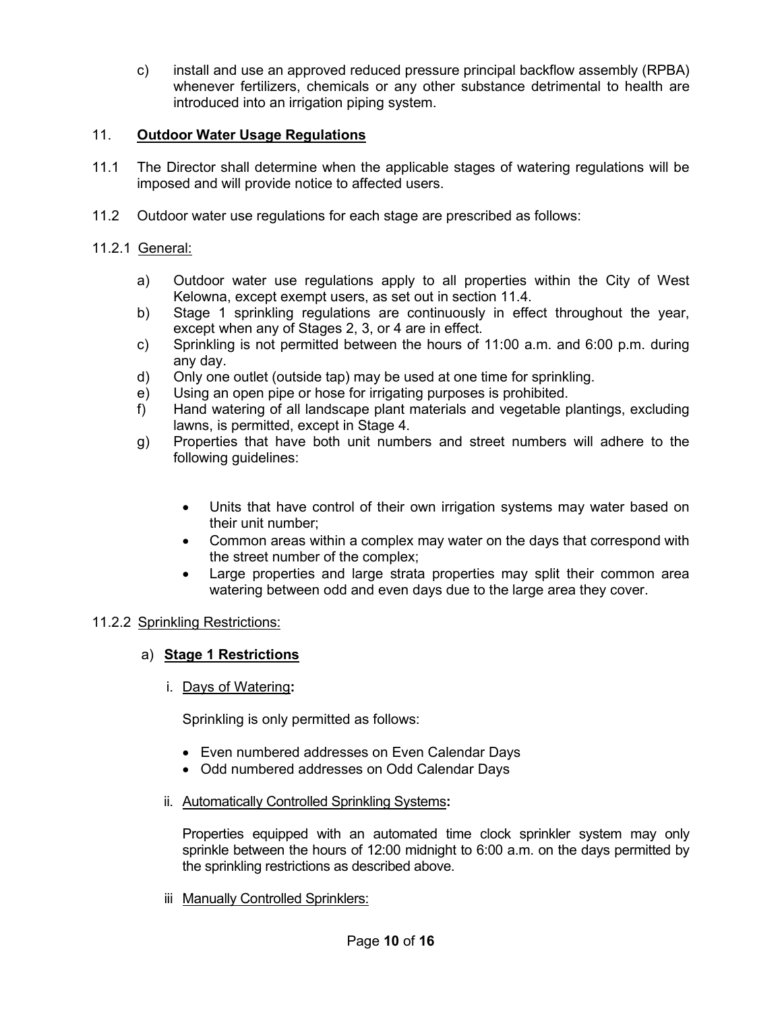c) install and use an approved reduced pressure principal backflow assembly (RPBA) whenever fertilizers, chemicals or any other substance detrimental to health are introduced into an irrigation piping system.

## 11. **Outdoor Water Usage Regulations**

- 11.1 The Director shall determine when the applicable stages of watering regulations will be imposed and will provide notice to affected users.
- 11.2 Outdoor water use regulations for each stage are prescribed as follows:

## 11.2.1 General:

- a) Outdoor water use regulations apply to all properties within the City of West Kelowna, except exempt users, as set out in section 11.4.
- b) Stage 1 sprinkling regulations are continuously in effect throughout the year, except when any of Stages 2, 3, or 4 are in effect.
- c) Sprinkling is not permitted between the hours of 11:00 a.m. and 6:00 p.m. during any day.
- d) Only one outlet (outside tap) may be used at one time for sprinkling.
- e) Using an open pipe or hose for irrigating purposes is prohibited.
- f) Hand watering of all landscape plant materials and vegetable plantings, excluding lawns, is permitted, except in Stage 4.
- g) Properties that have both unit numbers and street numbers will adhere to the following guidelines:
	- Units that have control of their own irrigation systems may water based on their unit number;
	- Common areas within a complex may water on the days that correspond with the street number of the complex;
	- Large properties and large strata properties may split their common area watering between odd and even days due to the large area they cover.

## 11.2.2 Sprinkling Restrictions:

## a) **Stage 1 Restrictions**

i. Days of Watering**:**

Sprinkling is only permitted as follows:

- Even numbered addresses on Even Calendar Days
- Odd numbered addresses on Odd Calendar Days
- ii. Automatically Controlled Sprinkling Systems**:**

Properties equipped with an automated time clock sprinkler system may only sprinkle between the hours of 12:00 midnight to 6:00 a.m. on the days permitted by the sprinkling restrictions as described above.

iii Manually Controlled Sprinklers: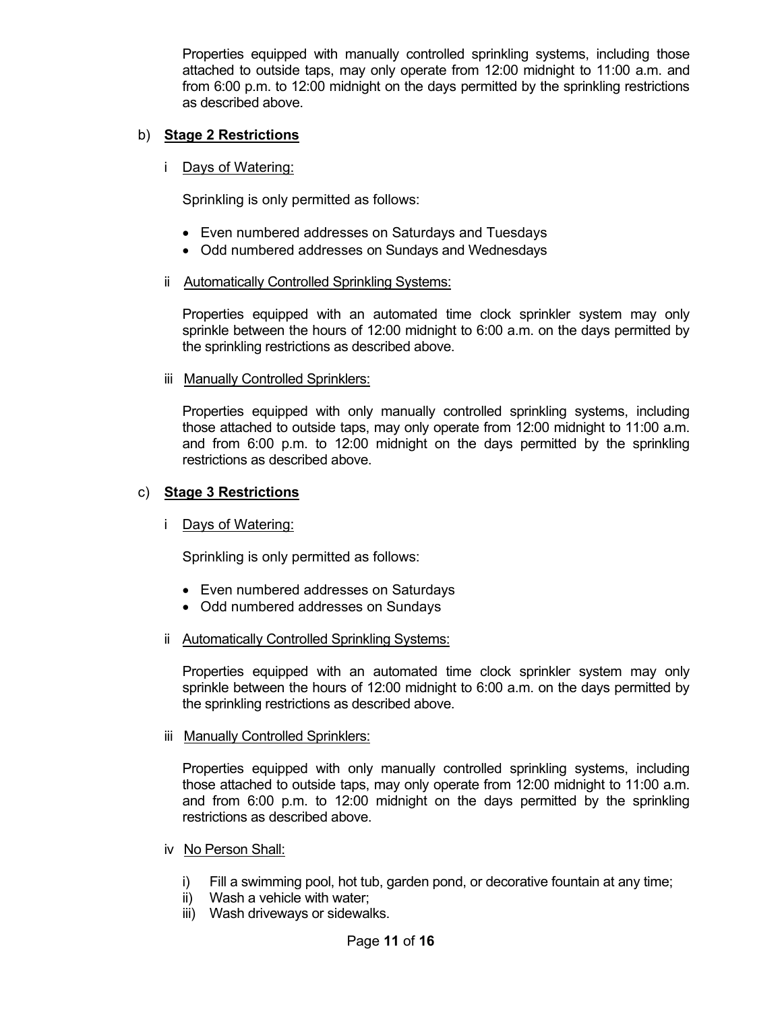Properties equipped with manually controlled sprinkling systems, including those attached to outside taps, may only operate from 12:00 midnight to 11:00 a.m. and from 6:00 p.m. to 12:00 midnight on the days permitted by the sprinkling restrictions as described above.

## b) **Stage 2 Restrictions**

## i Days of Watering:

Sprinkling is only permitted as follows:

- Even numbered addresses on Saturdays and Tuesdays
- Odd numbered addresses on Sundays and Wednesdays

## ii Automatically Controlled Sprinkling Systems:

Properties equipped with an automated time clock sprinkler system may only sprinkle between the hours of 12:00 midnight to 6:00 a.m. on the days permitted by the sprinkling restrictions as described above.

### iii Manually Controlled Sprinklers:

Properties equipped with only manually controlled sprinkling systems, including those attached to outside taps, may only operate from 12:00 midnight to 11:00 a.m. and from 6:00 p.m. to 12:00 midnight on the days permitted by the sprinkling restrictions as described above.

## c) **Stage 3 Restrictions**

## i Days of Watering:

Sprinkling is only permitted as follows:

- Even numbered addresses on Saturdays
- Odd numbered addresses on Sundays
- ii Automatically Controlled Sprinkling Systems:

Properties equipped with an automated time clock sprinkler system may only sprinkle between the hours of 12:00 midnight to 6:00 a.m. on the days permitted by the sprinkling restrictions as described above.

## iii Manually Controlled Sprinklers:

Properties equipped with only manually controlled sprinkling systems, including those attached to outside taps, may only operate from 12:00 midnight to 11:00 a.m. and from 6:00 p.m. to 12:00 midnight on the days permitted by the sprinkling restrictions as described above.

## iv No Person Shall:

- i) Fill a swimming pool, hot tub, garden pond, or decorative fountain at any time;
- ii) Wash a vehicle with water;
- iii) Wash driveways or sidewalks.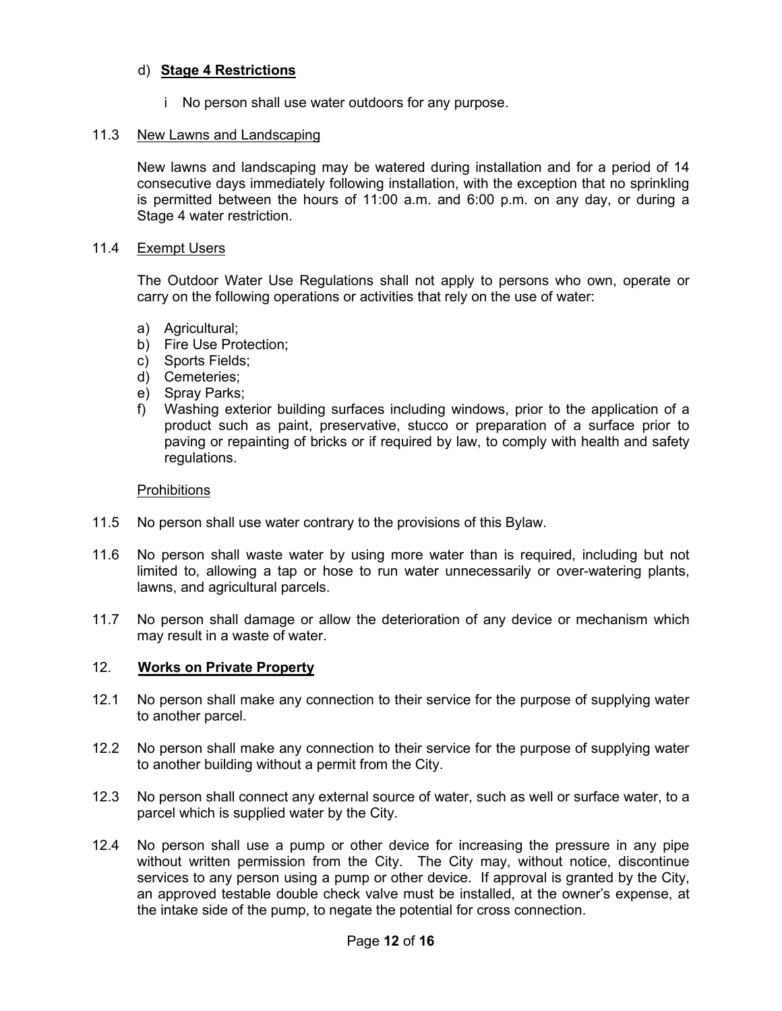## d) **Stage 4 Restrictions**

i No person shall use water outdoors for any purpose.

#### 11.3 New Lawns and Landscaping

New lawns and landscaping may be watered during installation and for a period of 14 consecutive days immediately following installation, with the exception that no sprinkling is permitted between the hours of 11:00 a.m. and 6:00 p.m. on any day, or during a Stage 4 water restriction.

#### 11.4 Exempt Users

The Outdoor Water Use Regulations shall not apply to persons who own, operate or carry on the following operations or activities that rely on the use of water:

- a) Agricultural;
- b) Fire Use Protection;
- c) Sports Fields;
- d) Cemeteries;
- e) Spray Parks;
- f) Washing exterior building surfaces including windows, prior to the application of a product such as paint, preservative, stucco or preparation of a surface prior to paving or repainting of bricks or if required by law, to comply with health and safety regulations.

#### **Prohibitions**

- 11.5 No person shall use water contrary to the provisions of this Bylaw.
- 11.6 No person shall waste water by using more water than is required, including but not limited to, allowing a tap or hose to run water unnecessarily or over-watering plants, lawns, and agricultural parcels.
- 11.7 No person shall damage or allow the deterioration of any device or mechanism which may result in a waste of water.

#### 12. **Works on Private Property**

- 12.1 No person shall make any connection to their service for the purpose of supplying water to another parcel.
- 12.2 No person shall make any connection to their service for the purpose of supplying water to another building without a permit from the City.
- 12.3 No person shall connect any external source of water, such as well or surface water, to a parcel which is supplied water by the City.
- 12.4 No person shall use a pump or other device for increasing the pressure in any pipe without written permission from the City. The City may, without notice, discontinue services to any person using a pump or other device. If approval is granted by the City, an approved testable double check valve must be installed, at the owner's expense, at the intake side of the pump, to negate the potential for cross connection.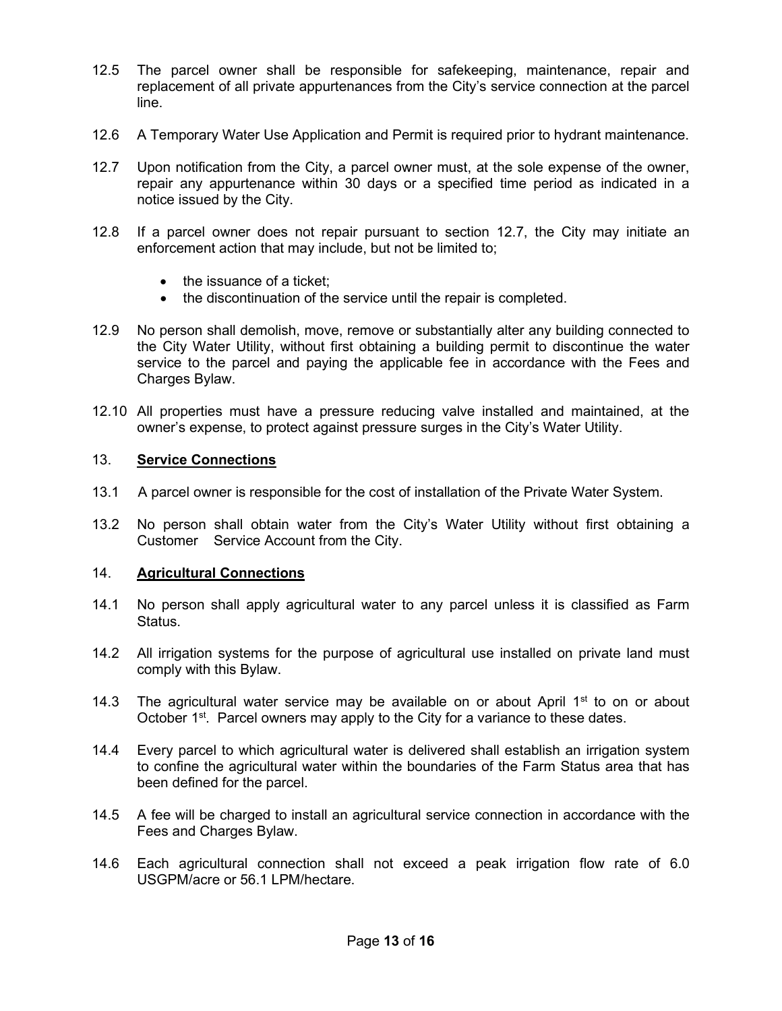- 12.5 The parcel owner shall be responsible for safekeeping, maintenance, repair and replacement of all private appurtenances from the City's service connection at the parcel line.
- 12.6 A Temporary Water Use Application and Permit is required prior to hydrant maintenance.
- 12.7 Upon notification from the City, a parcel owner must, at the sole expense of the owner, repair any appurtenance within 30 days or a specified time period as indicated in a notice issued by the City.
- 12.8 If a parcel owner does not repair pursuant to section 12.7, the City may initiate an enforcement action that may include, but not be limited to;
	- the issuance of a ticket;
	- the discontinuation of the service until the repair is completed.
- 12.9 No person shall demolish, move, remove or substantially alter any building connected to the City Water Utility, without first obtaining a building permit to discontinue the water service to the parcel and paying the applicable fee in accordance with the Fees and Charges Bylaw.
- 12.10 All properties must have a pressure reducing valve installed and maintained, at the owner's expense, to protect against pressure surges in the City's Water Utility.

### 13. **Service Connections**

- 13.1 A parcel owner is responsible for the cost of installation of the Private Water System.
- 13.2 No person shall obtain water from the City's Water Utility without first obtaining a Customer Service Account from the City.

#### 14. **Agricultural Connections**

- 14.1 No person shall apply agricultural water to any parcel unless it is classified as Farm Status.
- 14.2 All irrigation systems for the purpose of agricultural use installed on private land must comply with this Bylaw.
- 14.3 The agricultural water service may be available on or about April  $1<sup>st</sup>$  to on or about October  $1^{st}$ . Parcel owners may apply to the City for a variance to these dates.
- 14.4 Every parcel to which agricultural water is delivered shall establish an irrigation system to confine the agricultural water within the boundaries of the Farm Status area that has been defined for the parcel.
- 14.5 A fee will be charged to install an agricultural service connection in accordance with the Fees and Charges Bylaw.
- 14.6 Each agricultural connection shall not exceed a peak irrigation flow rate of 6.0 USGPM/acre or 56.1 LPM/hectare.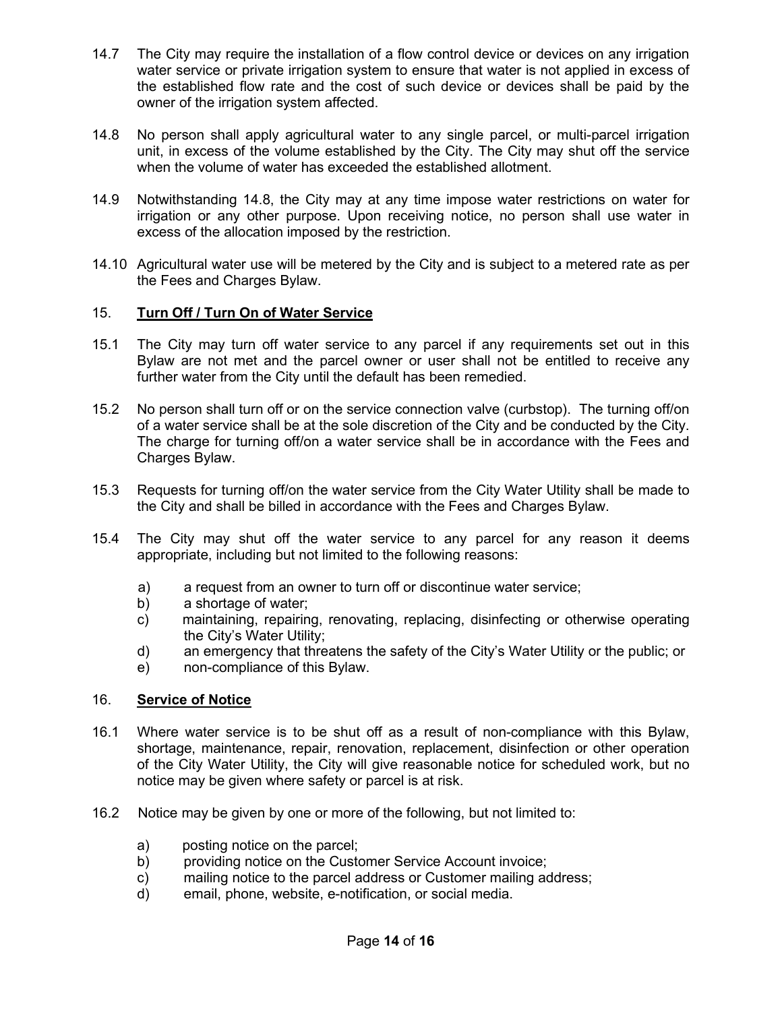- 14.7 The City may require the installation of a flow control device or devices on any irrigation water service or private irrigation system to ensure that water is not applied in excess of the established flow rate and the cost of such device or devices shall be paid by the owner of the irrigation system affected.
- 14.8 No person shall apply agricultural water to any single parcel, or multi-parcel irrigation unit, in excess of the volume established by the City. The City may shut off the service when the volume of water has exceeded the established allotment.
- 14.9 Notwithstanding 14.8, the City may at any time impose water restrictions on water for irrigation or any other purpose. Upon receiving notice, no person shall use water in excess of the allocation imposed by the restriction.
- 14.10 Agricultural water use will be metered by the City and is subject to a metered rate as per the Fees and Charges Bylaw.

## 15. **Turn Off / Turn On of Water Service**

- 15.1 The City may turn off water service to any parcel if any requirements set out in this Bylaw are not met and the parcel owner or user shall not be entitled to receive any further water from the City until the default has been remedied.
- 15.2 No person shall turn off or on the service connection valve (curbstop). The turning off/on of a water service shall be at the sole discretion of the City and be conducted by the City. The charge for turning off/on a water service shall be in accordance with the Fees and Charges Bylaw.
- 15.3 Requests for turning off/on the water service from the City Water Utility shall be made to the City and shall be billed in accordance with the Fees and Charges Bylaw.
- 15.4 The City may shut off the water service to any parcel for any reason it deems appropriate, including but not limited to the following reasons:
	- a) a request from an owner to turn off or discontinue water service;
	- b) a shortage of water;
	- c) maintaining, repairing, renovating, replacing, disinfecting or otherwise operating the City's Water Utility;
	- d) an emergency that threatens the safety of the City's Water Utility or the public; or
	- e) non-compliance of this Bylaw.

## 16. **Service of Notice**

- 16.1 Where water service is to be shut off as a result of non-compliance with this Bylaw, shortage, maintenance, repair, renovation, replacement, disinfection or other operation of the City Water Utility, the City will give reasonable notice for scheduled work, but no notice may be given where safety or parcel is at risk.
- 16.2 Notice may be given by one or more of the following, but not limited to:
	- a) posting notice on the parcel;
	- b) providing notice on the Customer Service Account invoice;
	- c) mailing notice to the parcel address or Customer mailing address;
	- d) email, phone, website, e-notification, or social media.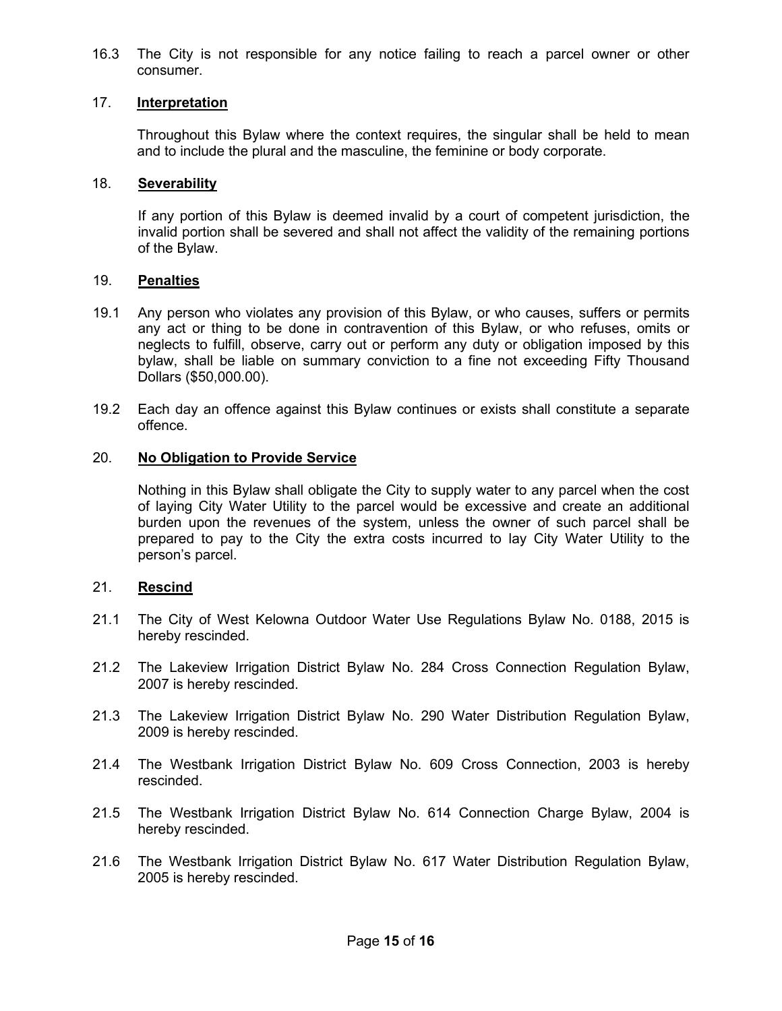16.3 The City is not responsible for any notice failing to reach a parcel owner or other consumer.

## 17. **Interpretation**

Throughout this Bylaw where the context requires, the singular shall be held to mean and to include the plural and the masculine, the feminine or body corporate.

### 18. **Severability**

If any portion of this Bylaw is deemed invalid by a court of competent jurisdiction, the invalid portion shall be severed and shall not affect the validity of the remaining portions of the Bylaw.

### 19. **Penalties**

- 19.1 Any person who violates any provision of this Bylaw, or who causes, suffers or permits any act or thing to be done in contravention of this Bylaw, or who refuses, omits or neglects to fulfill, observe, carry out or perform any duty or obligation imposed by this bylaw, shall be liable on summary conviction to a fine not exceeding Fifty Thousand Dollars (\$50,000.00).
- 19.2 Each day an offence against this Bylaw continues or exists shall constitute a separate offence.

## 20. **No Obligation to Provide Service**

Nothing in this Bylaw shall obligate the City to supply water to any parcel when the cost of laying City Water Utility to the parcel would be excessive and create an additional burden upon the revenues of the system, unless the owner of such parcel shall be prepared to pay to the City the extra costs incurred to lay City Water Utility to the person's parcel.

## 21. **Rescind**

- 21.1 The City of West Kelowna Outdoor Water Use Regulations Bylaw No. 0188, 2015 is hereby rescinded.
- 21.2 The Lakeview Irrigation District Bylaw No. 284 Cross Connection Regulation Bylaw, 2007 is hereby rescinded.
- 21.3 The Lakeview Irrigation District Bylaw No. 290 Water Distribution Regulation Bylaw, 2009 is hereby rescinded.
- 21.4 The Westbank Irrigation District Bylaw No. 609 Cross Connection, 2003 is hereby rescinded.
- 21.5 The Westbank Irrigation District Bylaw No. 614 Connection Charge Bylaw, 2004 is hereby rescinded.
- 21.6 The Westbank Irrigation District Bylaw No. 617 Water Distribution Regulation Bylaw, 2005 is hereby rescinded.